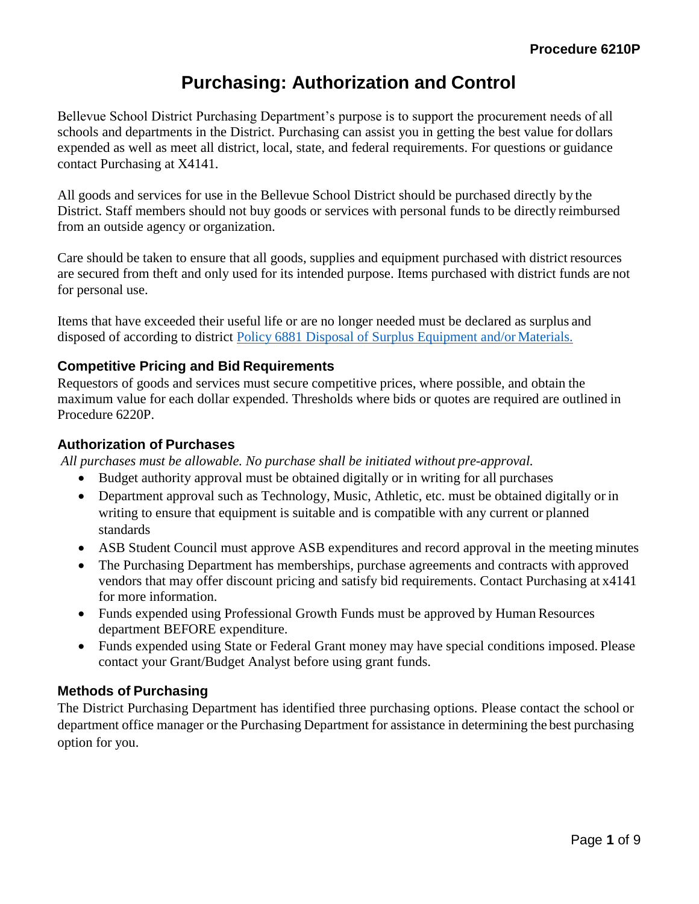# **Purchasing: Authorization and Control**

Bellevue School District Purchasing Department's purpose is to support the procurement needs of all schools and departments in the District. Purchasing can assist you in getting the best value for dollars expended as well as meet all district, local, state, and federal requirements. For questions or guidance contact Purchasing at X4141.

All goods and services for use in the Bellevue School District should be purchased directly by the District. Staff members should not buy goods or services with personal funds to be directly reimbursed from an outside agency or organization.

Care should be taken to ensure that all goods, supplies and equipment purchased with district resources are secured from theft and only used for its intended purpose. Items purchased with district funds are not for personal use.

Items that have exceeded their useful life or are no longer needed must be declared as surplus and disposed of according to district [Policy 6881](https://bsd405.org/wp-content/pdf/policy/6881.pdf) Disposal of Surplus Equipment and/or Materials.

#### **Competitive Pricing and Bid Requirements**

Requestors of goods and services must secure competitive prices, where possible, and obtain the maximum value for each dollar expended. Thresholds where bids or quotes are required are outlined in Procedure 6220P.

#### **Authorization of Purchases**

*All purchases must be allowable. No purchase shall be initiated without pre-approval.*

- Budget authority approval must be obtained digitally or in writing for all purchases
- Department approval such as Technology, Music, Athletic, etc. must be obtained digitally or in writing to ensure that equipment is suitable and is compatible with any current or planned standards
- ASB Student Council must approve ASB expenditures and record approval in the meeting minutes
- The Purchasing Department has memberships, purchase agreements and contracts with approved vendors that may offer discount pricing and satisfy bid requirements. Contact Purchasing at x4141 for more information.
- Funds expended using Professional Growth Funds must be approved by Human Resources department BEFORE expenditure.
- Funds expended using State or Federal Grant money may have special conditions imposed. Please contact your Grant/Budget Analyst before using grant funds.

#### **Methods of Purchasing**

The District Purchasing Department has identified three purchasing options. Please contact the school or department office manager or the Purchasing Department for assistance in determining the best purchasing option for you.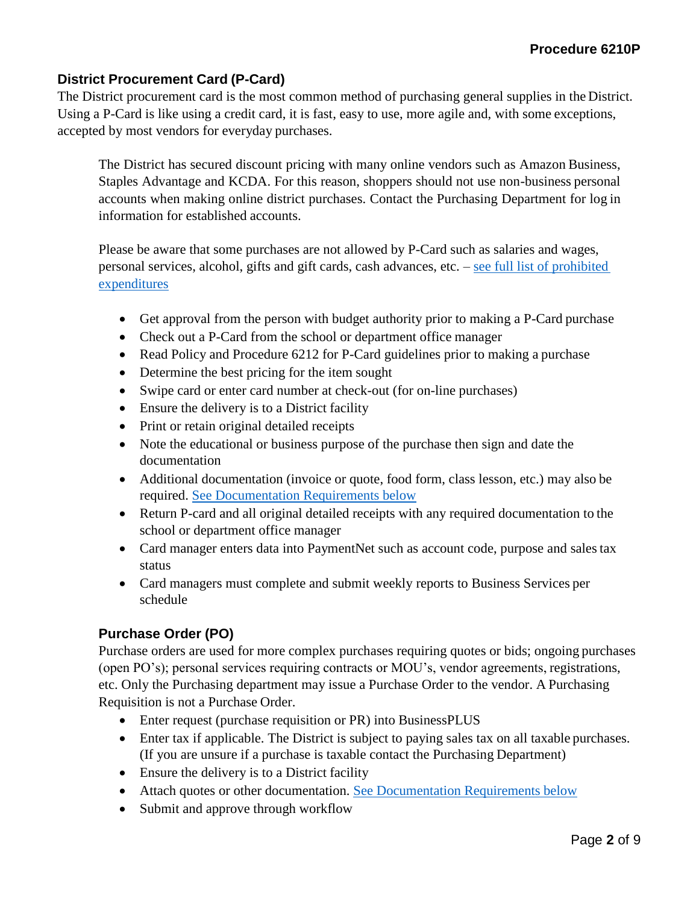## **District Procurement Card (P-Card)**

The District procurement card is the most common method of purchasing general supplies in the District. Using a P-Card is like using a credit card, it is fast, easy to use, more agile and, with some exceptions, accepted by most vendors for everyday purchases.

The District has secured discount pricing with many online vendors such as Amazon Business, Staples Advantage and KCDA. For this reason, shoppers should not use non-business personal accounts when making online district purchases. Contact the Purchasing Department for log in information for established accounts.

Please be aware that some purchases are not allowed by P-Card such as salaries and wages, personal services, alcohol, gifts and gift cards, cash advances, etc. – see full list of prohibited expenditures

- Get approval from the person with budget authority prior to making a P-Card purchase
- Check out a P-Card from the school or department office manager
- Read Policy and Procedure 6212 for P-Card guidelines prior to making a purchase
- Determine the best pricing for the item sought
- Swipe card or enter card number at check-out (for on-line purchases)
- Ensure the delivery is to a District facility
- Print or retain original detailed receipts
- Note the educational or business purpose of the purchase then sign and date the documentation
- Additional documentation (invoice or quote, food form, class lesson, etc.) may also be required. [See Documentation Requirements](#page-3-0) below
- Return P-card and all original detailed receipts with any required documentation to the school or department office manager
- Card manager enters data into PaymentNet such as account code, purpose and sales tax status
- Card managers must complete and submit weekly reports to Business Services per schedule

## **Purchase Order (PO)**

Purchase orders are used for more complex purchases requiring quotes or bids; ongoing purchases (open PO's); personal services requiring contracts or MOU's, vendor agreements, registrations, etc. Only the Purchasing department may issue a Purchase Order to the vendor. A Purchasing Requisition is not a Purchase Order.

- Enter request (purchase requisition or PR) into Business PLUS
- Enter tax if applicable. The District is subject to paying sales tax on all taxable purchases. (If you are unsure if a purchase is taxable contact the Purchasing Department)
- Ensure the delivery is to a District facility
- Attach quotes or other documentation. [See Documentation Requirements](#page-3-0) below
- Submit and approve through workflow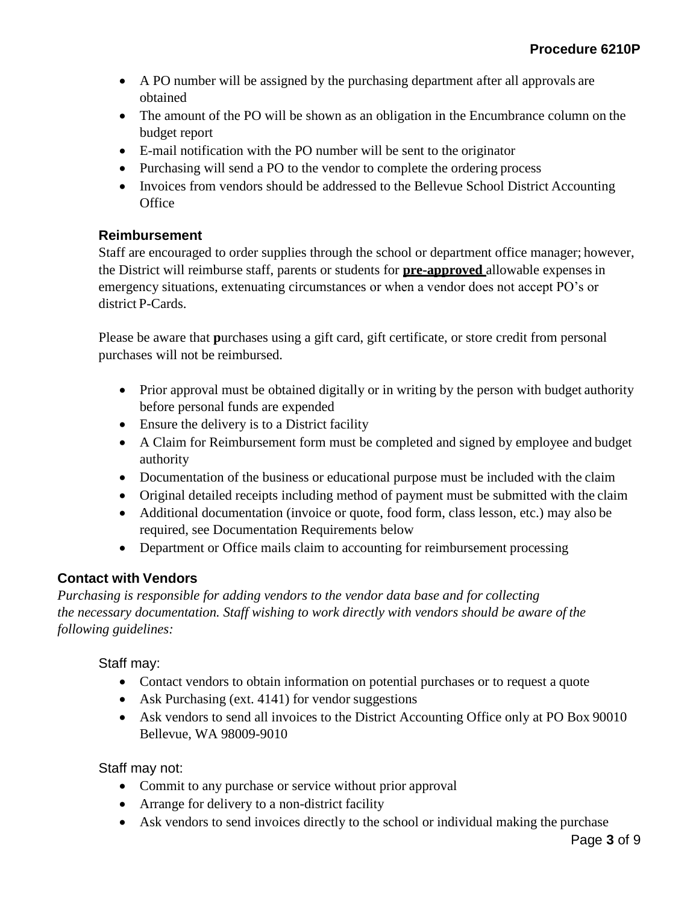- A PO number will be assigned by the purchasing department after all approvals are obtained
- The amount of the PO will be shown as an obligation in the Encumbrance column on the budget report
- E-mail notification with the PO number will be sent to the originator
- Purchasing will send a PO to the vendor to complete the ordering process
- Invoices from vendors should be addressed to the Bellevue School District Accounting **Office**

## **Reimbursement**

Staff are encouraged to order supplies through the school or department office manager; however, the District will reimburse staff, parents or students for **pre-approved** allowable expensesin emergency situations, extenuating circumstances or when a vendor does not accept PO's or district P-Cards.

Please be aware that **p**urchases using a gift card, gift certificate, or store credit from personal purchases will not be reimbursed.

- Prior approval must be obtained digitally or in writing by the person with budget authority before personal funds are expended
- Ensure the delivery is to a District facility
- A Claim for Reimbursement form must be completed and signed by employee and budget authority
- Documentation of the business or educational purpose must be included with the claim
- Original detailed receipts including method of payment must be submitted with the claim
- Additional documentation (invoice or quote, food form, class lesson, etc.) may also be required, see Documentation Requirements below
- Department or Office mails claim to accounting for reimbursement processing

# **Contact with Vendors**

*Purchasing is responsible for adding vendors to the vendor data base and for collecting the necessary documentation. Staff wishing to work directly with vendors should be aware of the following guidelines:*

# Staff may:

- Contact vendors to obtain information on potential purchases or to request a quote
- Ask Purchasing (ext. 4141) for vendor suggestions
- Ask vendors to send all invoices to the District Accounting Office only at PO Box 90010 Bellevue, WA 98009-9010

Staff may not:

- Commit to any purchase or service without prior approval
- Arrange for delivery to a non-district facility
- Ask vendors to send invoices directly to the school or individual making the purchase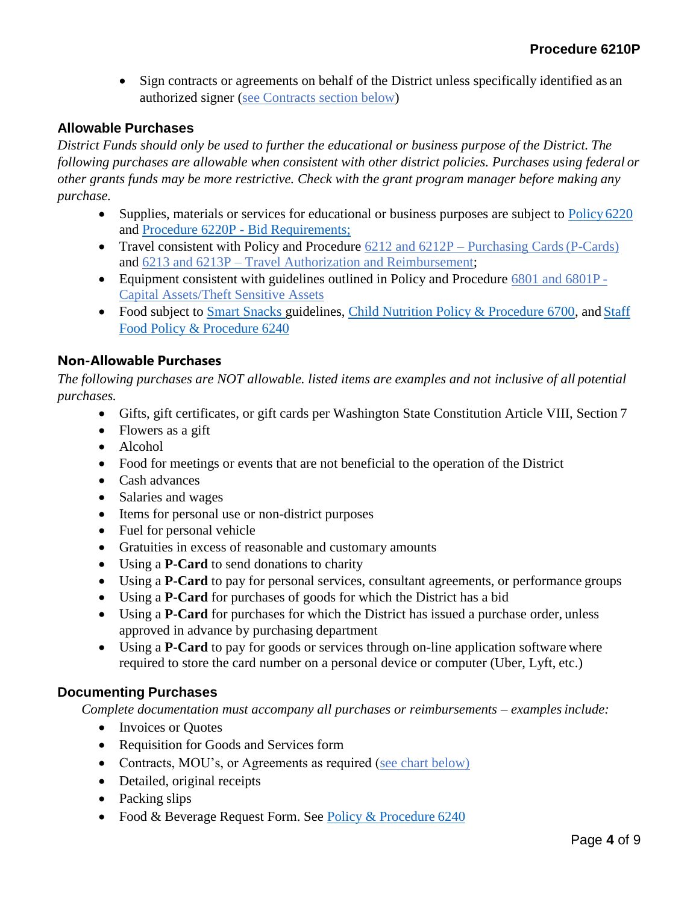• Sign contracts or agreements on behalf of the District unless specifically identified as an authorized signer (see Contracts section below)

## **Allowable Purchases**

*District Funds should only be used to further the educational or business purpose of the District. The following purchases are allowable when consistent with other district policies. Purchases using federal or other grants funds may be more restrictive. Check with the grant program manager before making any purchase.*

- Supplies, materials or services for educational or business purposes are subject to [Policy](https://bsd405.org/wp-content/pdf/policy/6220.pdf) 6220 and [Procedure 6220P](https://bsd405.org/wp-content/pdf/policy/6220P.pdf) - Bid Requirements;
- Travel consistent with Policy and Procedure 6212 and 6212P Purchasing Cards (P-Cards) and 6213 and 6213P – Travel Authorization and Reimbursement;
- Equipment consistent with guidelines outlined in Policy and Procedure 6801 and 6801P -Capital Assets/Theft Sensitive Assets
- Food subject to [Smart Snacks g](https://www.fns.usda.gov/school-meals/tools-schools-focusing-smart-snacks)uidelines, [Child Nutrition Policy & Procedure 6700,](https://bsd405.org/wp-content/pdf/policy/6700.pdf) and [Staff](https://bsd405.org/wp-content/pdf/policy/6240P.pdf) [Food Policy & Procedure](https://bsd405.org/wp-content/pdf/policy/6240P.pdf) 6240

#### **Non-Allowable Purchases**

*The following purchases are NOT allowable. listed items are examples and not inclusive of all potential purchases.*

- Gifts, gift certificates, or gift cards per Washington State Constitution Article VIII, Section 7
- Flowers as a gift
- Alcohol
- Food for meetings or events that are not beneficial to the operation of the District
- Cash advances
- Salaries and wages
- Items for personal use or non-district purposes
- Fuel for personal vehicle
- Gratuities in excess of reasonable and customary amounts
- Using a **P-Card** to send donations to charity
- Using a **P-Card** to pay for personal services, consultant agreements, or performance groups
- Using a **P-Card** for purchases of goods for which the District has a bid
- Using a **P-Card** for purchases for which the District has issued a purchase order, unless approved in advance by purchasing department
- <span id="page-3-0"></span>• Using a **P-Card** to pay for goods or services through on-line application software where required to store the card number on a personal device or computer (Uber, Lyft, etc.)

#### **Documenting Purchases**

*Complete documentation must accompany all purchases or reimbursements – examplesinclude:*

- Invoices or Quotes
- Requisition for Goods and Services form
- Contracts, MOU's, or Agreements as required (see chart below)
- Detailed, original receipts
- Packing slips
- Food & Beverage Request Form. See [Policy & Procedure](https://bsd405.org/wp-content/pdf/policy/6240P%20Exh.%20A.pdf) 6240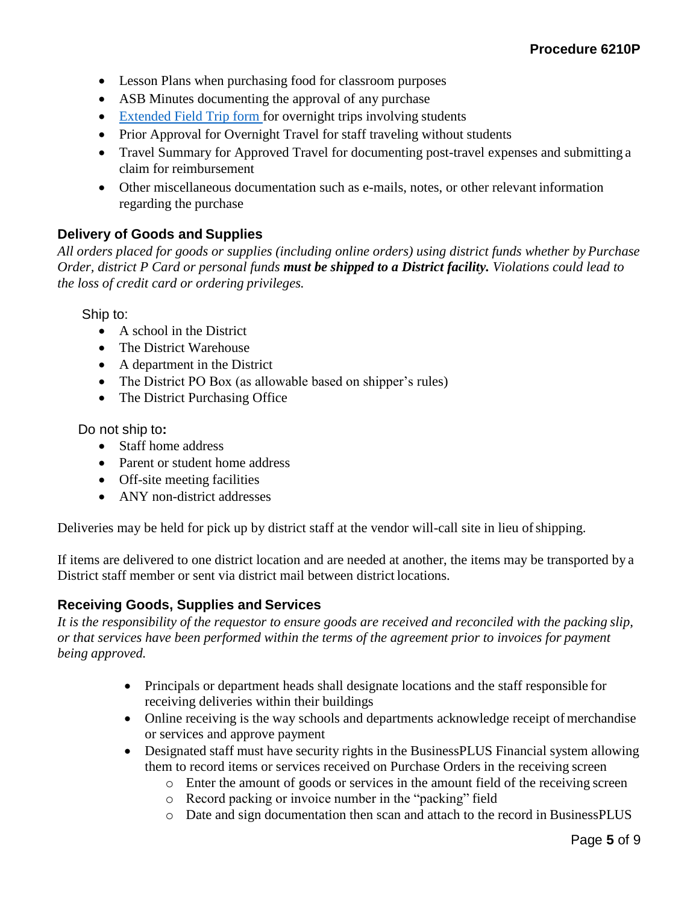- Lesson Plans when purchasing food for classroom purposes
- ASB Minutes documenting the approval of any purchase
- [Extended Field Trip form](https://bsd405.org/departments/athletics-activities/field-trips/) for overnight trips involving students
- Prior Approval for Overnight Travel for staff traveling without students
- Travel Summary for Approved Travel for documenting post-travel expenses and submitting a claim for reimbursement
- Other miscellaneous documentation such as e-mails, notes, or other relevant information regarding the purchase

### **Delivery of Goods and Supplies**

*All orders placed for goods or supplies (including online orders) using district funds whether by Purchase Order, district P Card or personal funds must be shipped to a District facility. Violations could lead to the loss of credit card or ordering privileges.*

Ship to:

- A school in the District
- The District Warehouse
- A department in the District
- The District PO Box (as allowable based on shipper's rules)
- The District Purchasing Office

Do not ship to**:**

- Staff home address
- Parent or student home address
- Off-site meeting facilities
- ANY non-district addresses

Deliveries may be held for pick up by district staff at the vendor will-call site in lieu of shipping.

If items are delivered to one district location and are needed at another, the items may be transported by a District staff member or sent via district mail between district locations.

#### **Receiving Goods, Supplies and Services**

*It is the responsibility of the requestor to ensure goods are received and reconciled with the packing slip, or that services have been performed within the terms of the agreement prior to invoices for payment being approved.*

- Principals or department heads shall designate locations and the staff responsible for receiving deliveries within their buildings
- Online receiving is the way schools and departments acknowledge receipt of merchandise or services and approve payment
- Designated staff must have security rights in the Business PLUS Financial system allowing them to record items or services received on Purchase Orders in the receiving screen
	- o Enter the amount of goods or services in the amount field of the receiving screen
	- o Record packing or invoice number in the "packing" field
	- o Date and sign documentation then scan and attach to the record in BusinessPLUS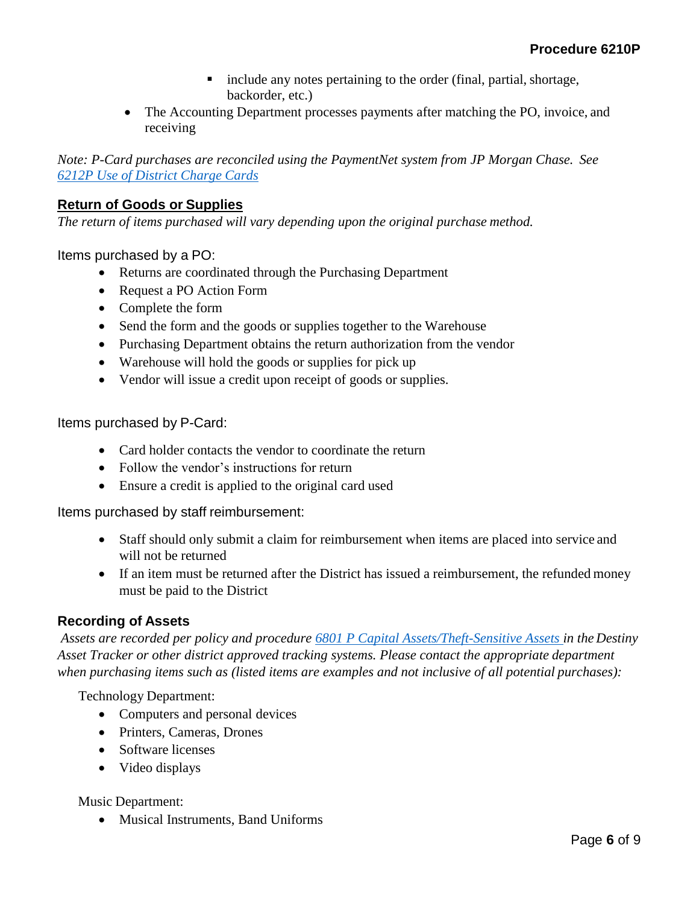- include any notes pertaining to the order (final, partial, shortage, backorder, etc.)
- The Accounting Department processes payments after matching the PO, invoice, and receiving

*Note: P-Card purchases are reconciled using the PaymentNet system from JP Morgan Chase. See [6212P Use of District Charge](https://bsd405.org/wp-content/pdf/policy/6212P.pdf) Cards*

#### **Return of Goods or Supplies**

*The return of items purchased will vary depending upon the original purchase method.*

Items purchased by a PO:

- Returns are coordinated through the Purchasing Department
- Request a PO Action Form
- Complete the form
- Send the form and the goods or supplies together to the Warehouse
- Purchasing Department obtains the return authorization from the vendor
- Warehouse will hold the goods or supplies for pick up
- Vendor will issue a credit upon receipt of goods or supplies.

#### Items purchased by P-Card:

- Card holder contacts the vendor to coordinate the return
- Follow the vendor's instructions for return
- Ensure a credit is applied to the original card used

#### Items purchased by staff reimbursement:

- Staff should only submit a claim for reimbursement when items are placed into service and will not be returned
- If an item must be returned after the District has issued a reimbursement, the refunded money must be paid to the District

#### **Recording of Assets**

*Assets are recorded per policy and procedure [6801 P Capital Assets/Theft-Sensitive Assets i](https://bsd405.org/wp-content/pdf/policy/6801.pdf)n the Destiny Asset Tracker or other district approved tracking systems. Please contact the appropriate department* when purchasing items such as (listed items are examples and not inclusive of all potential purchases):

Technology Department:

- Computers and personal devices
- Printers, Cameras, Drones
- Software licenses
- Video displays

Music Department:

• Musical Instruments, Band Uniforms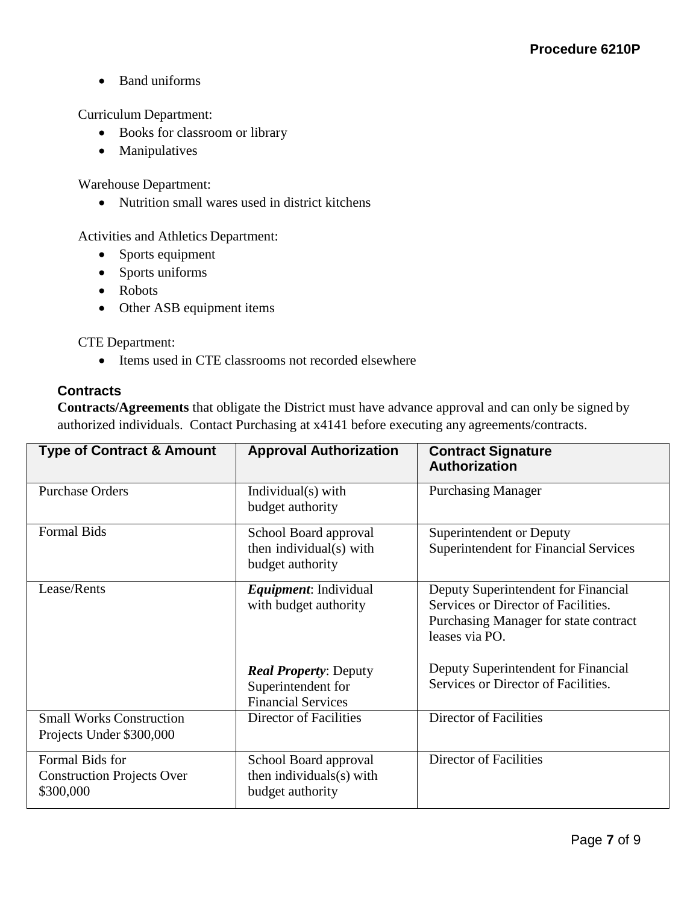• Band uniforms

Curriculum Department:

- Books for classroom or library
- Manipulatives

Warehouse Department:

• Nutrition small wares used in district kitchens

Activities and Athletics Department:

- Sports equipment
- Sports uniforms
- Robots
- Other ASB equipment items

CTE Department:

• Items used in CTE classrooms not recorded elsewhere

#### **Contracts**

**Contracts/Agreements** that obligate the District must have advance approval and can only be signed by authorized individuals. Contact Purchasing at x4141 before executing any agreements/contracts.

| <b>Type of Contract &amp; Amount</b>                              | <b>Approval Authorization</b>                                                   | <b>Contract Signature</b><br><b>Authorization</b>                                                                                     |
|-------------------------------------------------------------------|---------------------------------------------------------------------------------|---------------------------------------------------------------------------------------------------------------------------------------|
| <b>Purchase Orders</b>                                            | Individual(s) with<br>budget authority                                          | <b>Purchasing Manager</b>                                                                                                             |
| <b>Formal Bids</b>                                                | School Board approval<br>then individual(s) with<br>budget authority            | Superintendent or Deputy<br><b>Superintendent for Financial Services</b>                                                              |
| Lease/Rents                                                       | <i>Equipment</i> : Individual<br>with budget authority                          | Deputy Superintendent for Financial<br>Services or Director of Facilities.<br>Purchasing Manager for state contract<br>leases via PO. |
|                                                                   | <b>Real Property: Deputy</b><br>Superintendent for<br><b>Financial Services</b> | Deputy Superintendent for Financial<br>Services or Director of Facilities.                                                            |
| <b>Small Works Construction</b><br>Projects Under \$300,000       | Director of Facilities                                                          | Director of Facilities                                                                                                                |
| Formal Bids for<br><b>Construction Projects Over</b><br>\$300,000 | School Board approval<br>then individuals $(s)$ with<br>budget authority        | Director of Facilities                                                                                                                |